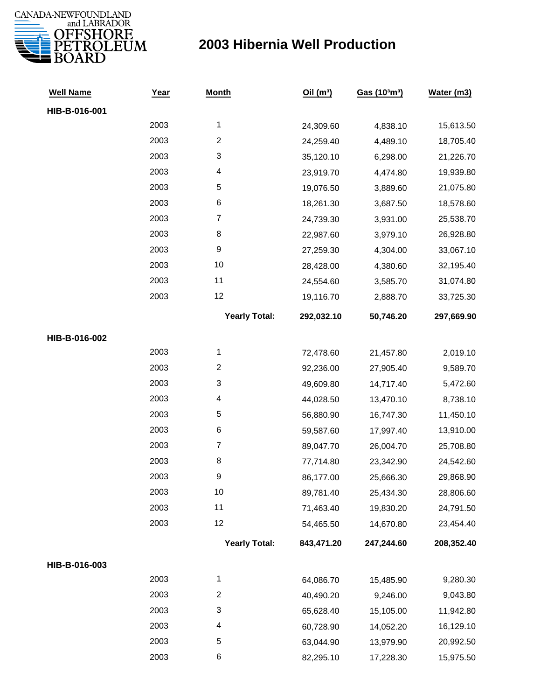

| <b>Well Name</b> | Year | <b>Month</b>            | Oil(m <sup>3</sup> ) | Gas (103m3) | Water (m3) |
|------------------|------|-------------------------|----------------------|-------------|------------|
| HIB-B-016-001    |      |                         |                      |             |            |
|                  | 2003 | $\mathbf{1}$            | 24,309.60            | 4,838.10    | 15,613.50  |
|                  | 2003 | $\overline{c}$          | 24,259.40            | 4,489.10    | 18,705.40  |
|                  | 2003 | 3                       | 35,120.10            | 6,298.00    | 21,226.70  |
|                  | 2003 | 4                       | 23,919.70            | 4,474.80    | 19,939.80  |
|                  | 2003 | 5                       | 19,076.50            | 3,889.60    | 21,075.80  |
|                  | 2003 | 6                       | 18,261.30            | 3,687.50    | 18,578.60  |
|                  | 2003 | $\boldsymbol{7}$        | 24,739.30            | 3,931.00    | 25,538.70  |
|                  | 2003 | 8                       | 22,987.60            | 3,979.10    | 26,928.80  |
|                  | 2003 | 9                       | 27,259.30            | 4,304.00    | 33,067.10  |
|                  | 2003 | 10                      | 28,428.00            | 4,380.60    | 32,195.40  |
|                  | 2003 | 11                      | 24,554.60            | 3,585.70    | 31,074.80  |
|                  | 2003 | 12                      | 19,116.70            | 2,888.70    | 33,725.30  |
|                  |      | <b>Yearly Total:</b>    | 292,032.10           | 50,746.20   | 297,669.90 |
| HIB-B-016-002    |      |                         |                      |             |            |
|                  | 2003 | 1                       | 72,478.60            | 21,457.80   | 2,019.10   |
|                  | 2003 | $\overline{\mathbf{c}}$ | 92,236.00            | 27,905.40   | 9,589.70   |
|                  | 2003 | 3                       | 49,609.80            | 14,717.40   | 5,472.60   |
|                  | 2003 | 4                       | 44,028.50            | 13,470.10   | 8,738.10   |
|                  | 2003 | 5                       | 56,880.90            | 16,747.30   | 11,450.10  |
|                  | 2003 | 6                       | 59,587.60            | 17,997.40   | 13,910.00  |
|                  | 2003 | $\boldsymbol{7}$        | 89,047.70            | 26,004.70   | 25,708.80  |
|                  | 2003 | 8                       | 77,714.80            | 23,342.90   | 24,542.60  |
|                  | 2003 | 9                       | 86,177.00            | 25,666.30   | 29,868.90  |
|                  | 2003 | 10                      | 89,781.40            | 25,434.30   | 28,806.60  |
|                  | 2003 | 11                      | 71,463.40            | 19,830.20   | 24,791.50  |
|                  | 2003 | 12                      | 54,465.50            | 14,670.80   | 23,454.40  |
|                  |      | <b>Yearly Total:</b>    | 843,471.20           | 247,244.60  | 208,352.40 |
| HIB-B-016-003    |      |                         |                      |             |            |
|                  | 2003 | 1                       | 64,086.70            | 15,485.90   | 9,280.30   |
|                  | 2003 | $\overline{c}$          | 40,490.20            | 9,246.00    | 9,043.80   |
|                  | 2003 | 3                       | 65,628.40            | 15,105.00   | 11,942.80  |
|                  | 2003 | 4                       | 60,728.90            | 14,052.20   | 16,129.10  |
|                  | 2003 | 5                       | 63,044.90            | 13,979.90   | 20,992.50  |
|                  | 2003 | 6                       | 82,295.10            | 17,228.30   | 15,975.50  |
|                  |      |                         |                      |             |            |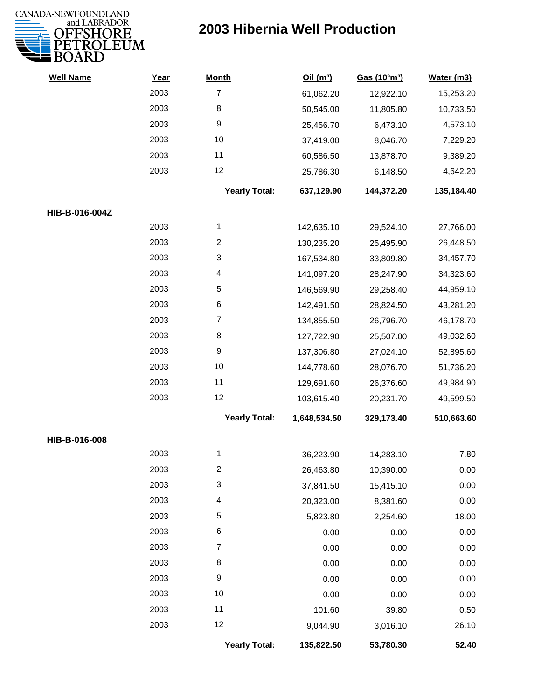

| <b>Well Name</b> | Year | <b>Month</b>         | Oil(m <sup>3</sup> ) | Gas (103m3) | Water (m3) |
|------------------|------|----------------------|----------------------|-------------|------------|
|                  | 2003 | $\overline{7}$       | 61,062.20            | 12,922.10   | 15,253.20  |
|                  | 2003 | 8                    | 50,545.00            | 11,805.80   | 10,733.50  |
|                  | 2003 | 9                    | 25,456.70            | 6,473.10    | 4,573.10   |
|                  | 2003 | 10                   | 37,419.00            | 8,046.70    | 7,229.20   |
|                  | 2003 | 11                   | 60,586.50            | 13,878.70   | 9,389.20   |
|                  | 2003 | 12                   | 25,786.30            | 6,148.50    | 4,642.20   |
|                  |      | <b>Yearly Total:</b> | 637,129.90           | 144,372.20  | 135,184.40 |
| HIB-B-016-004Z   |      |                      |                      |             |            |
|                  | 2003 | 1                    | 142,635.10           | 29,524.10   | 27,766.00  |
|                  | 2003 | $\overline{c}$       | 130,235.20           | 25,495.90   | 26,448.50  |
|                  | 2003 | 3                    | 167,534.80           | 33,809.80   | 34,457.70  |
|                  | 2003 | 4                    | 141,097.20           | 28,247.90   | 34,323.60  |
|                  | 2003 | 5                    | 146,569.90           | 29,258.40   | 44,959.10  |
|                  | 2003 | 6                    | 142,491.50           | 28,824.50   | 43,281.20  |
|                  | 2003 | $\overline{7}$       | 134,855.50           | 26,796.70   | 46,178.70  |
|                  | 2003 | 8                    | 127,722.90           | 25,507.00   | 49,032.60  |
|                  | 2003 | 9                    | 137,306.80           | 27,024.10   | 52,895.60  |
|                  | 2003 | 10                   | 144,778.60           | 28,076.70   | 51,736.20  |
|                  | 2003 | 11                   | 129,691.60           | 26,376.60   | 49,984.90  |
|                  | 2003 | 12                   | 103,615.40           | 20,231.70   | 49,599.50  |
|                  |      | <b>Yearly Total:</b> | 1,648,534.50         | 329,173.40  | 510,663.60 |
| HIB-B-016-008    |      |                      |                      |             |            |
|                  | 2003 | 1                    | 36,223.90            | 14,283.10   | 7.80       |
|                  | 2003 | 2                    | 26,463.80            | 10,390.00   | 0.00       |
|                  | 2003 | 3                    | 37,841.50            | 15,415.10   | 0.00       |
|                  | 2003 | 4                    | 20,323.00            | 8,381.60    | 0.00       |
|                  | 2003 | 5                    | 5,823.80             | 2,254.60    | 18.00      |
|                  | 2003 | 6                    | 0.00                 | 0.00        | 0.00       |
|                  | 2003 | 7                    | 0.00                 | 0.00        | 0.00       |
|                  | 2003 | 8                    | 0.00                 | 0.00        | 0.00       |
|                  | 2003 | 9                    | 0.00                 | 0.00        | 0.00       |
|                  | 2003 | 10                   | 0.00                 | 0.00        | 0.00       |
|                  | 2003 | 11                   | 101.60               | 39.80       | 0.50       |
|                  | 2003 | 12                   | 9,044.90             | 3,016.10    | 26.10      |
|                  |      | <b>Yearly Total:</b> | 135,822.50           | 53,780.30   | 52.40      |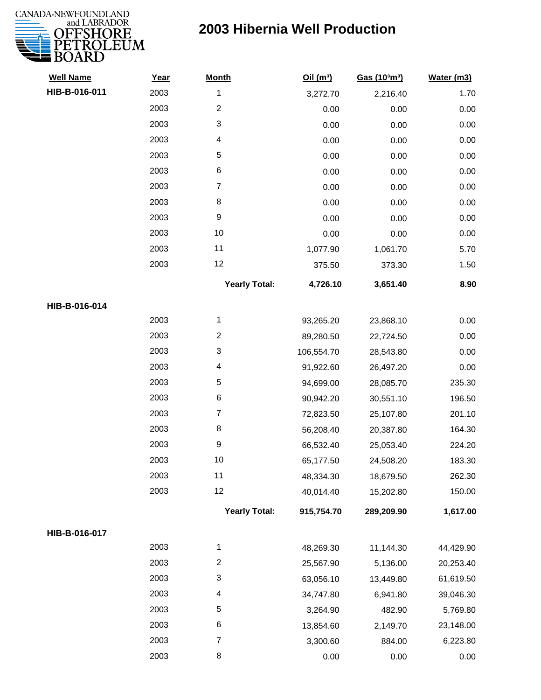

| <b>Well Name</b> | Year | <b>Month</b>         | Oil $(m^3)$ | Gas (103m3) | Water (m3) |
|------------------|------|----------------------|-------------|-------------|------------|
| HIB-B-016-011    | 2003 | 1                    | 3,272.70    | 2,216.40    | 1.70       |
|                  | 2003 | $\overline{2}$       | 0.00        | 0.00        | 0.00       |
|                  | 2003 | 3                    | 0.00        | 0.00        | 0.00       |
|                  | 2003 | 4                    | 0.00        | 0.00        | 0.00       |
|                  | 2003 | $\mathbf 5$          | 0.00        | 0.00        | 0.00       |
|                  | 2003 | $\,6$                | 0.00        | 0.00        | 0.00       |
|                  | 2003 | $\overline{7}$       | 0.00        | 0.00        | 0.00       |
|                  | 2003 | 8                    | 0.00        | 0.00        | 0.00       |
|                  | 2003 | $\boldsymbol{9}$     | 0.00        | 0.00        | 0.00       |
|                  | 2003 | 10                   | 0.00        | 0.00        | 0.00       |
|                  | 2003 | 11                   | 1,077.90    | 1,061.70    | 5.70       |
|                  | 2003 | 12                   | 375.50      | 373.30      | 1.50       |
|                  |      | <b>Yearly Total:</b> | 4,726.10    | 3,651.40    | 8.90       |
| HIB-B-016-014    |      |                      |             |             |            |
|                  | 2003 | 1                    | 93,265.20   | 23,868.10   | 0.00       |
|                  | 2003 | $\overline{c}$       | 89,280.50   | 22,724.50   | 0.00       |
|                  | 2003 | 3                    | 106,554.70  | 28,543.80   | 0.00       |
|                  | 2003 | 4                    | 91,922.60   | 26,497.20   | 0.00       |
|                  | 2003 | 5                    | 94,699.00   | 28,085.70   | 235.30     |
|                  | 2003 | $\,6$                | 90,942.20   | 30,551.10   | 196.50     |
|                  | 2003 | $\overline{7}$       | 72,823.50   | 25,107.80   | 201.10     |
|                  | 2003 | $\,8\,$              | 56,208.40   | 20,387.80   | 164.30     |
|                  | 2003 | $\boldsymbol{9}$     | 66,532.40   | 25,053.40   | 224.20     |
|                  | 2003 | 10                   | 65,177.50   | 24,508.20   | 183.30     |
|                  | 2003 | 11                   | 48,334.30   | 18,679.50   | 262.30     |
|                  | 2003 | 12                   | 40,014.40   | 15,202.80   | 150.00     |
|                  |      | <b>Yearly Total:</b> | 915,754.70  | 289,209.90  | 1,617.00   |
| HIB-B-016-017    |      |                      |             |             |            |
|                  | 2003 | 1                    | 48,269.30   | 11,144.30   | 44,429.90  |
|                  | 2003 | $\boldsymbol{2}$     | 25,567.90   | 5,136.00    | 20,253.40  |
|                  | 2003 | 3                    | 63,056.10   | 13,449.80   | 61,619.50  |
|                  | 2003 | 4                    | 34,747.80   | 6,941.80    | 39,046.30  |
|                  | 2003 | $\sqrt{5}$           | 3,264.90    | 482.90      | 5,769.80   |
|                  | 2003 | 6                    | 13,854.60   | 2,149.70    | 23,148.00  |
|                  | 2003 | 7                    | 3,300.60    | 884.00      | 6,223.80   |
|                  | 2003 | 8                    | 0.00        | 0.00        | 0.00       |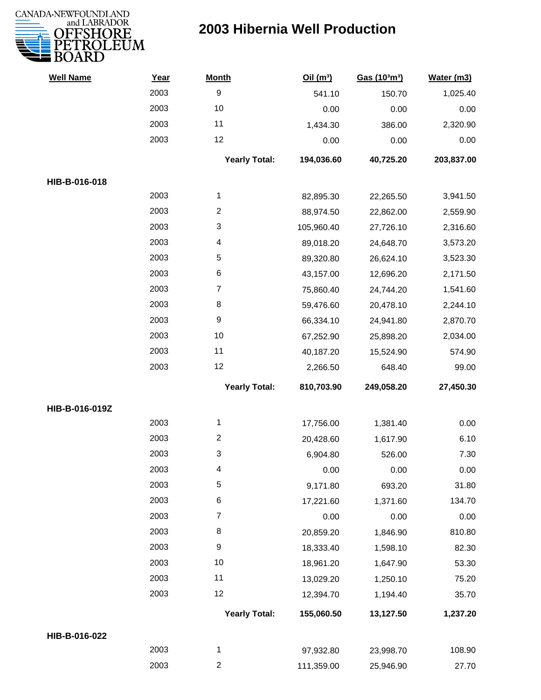

| <b>Well Name</b> | Year | <b>Month</b>         | Oil(m <sup>3</sup> ) | Gas (103m3) | Water (m3) |
|------------------|------|----------------------|----------------------|-------------|------------|
|                  | 2003 | $\boldsymbol{9}$     | 541.10               | 150.70      | 1,025.40   |
|                  | 2003 | 10                   | 0.00                 | 0.00        | 0.00       |
|                  | 2003 | 11                   | 1,434.30             | 386.00      | 2,320.90   |
|                  | 2003 | 12                   | 0.00                 | 0.00        | 0.00       |
|                  |      | <b>Yearly Total:</b> | 194,036.60           | 40,725.20   | 203,837.00 |
| HIB-B-016-018    |      |                      |                      |             |            |
|                  | 2003 | 1                    | 82,895.30            | 22,265.50   | 3,941.50   |
|                  | 2003 | $\overline{2}$       | 88,974.50            | 22,862.00   | 2,559.90   |
|                  | 2003 | 3                    | 105,960.40           | 27,726.10   | 2,316.60   |
|                  | 2003 | 4                    | 89,018.20            | 24,648.70   | 3,573.20   |
|                  | 2003 | 5                    | 89,320.80            | 26,624.10   | 3,523.30   |
|                  | 2003 | $\,6$                | 43,157.00            | 12,696.20   | 2,171.50   |
|                  | 2003 | $\overline{7}$       | 75,860.40            | 24,744.20   | 1,541.60   |
|                  | 2003 | 8                    | 59,476.60            | 20,478.10   | 2,244.10   |
|                  | 2003 | $\boldsymbol{9}$     | 66,334.10            | 24,941.80   | 2,870.70   |
|                  | 2003 | $10$                 | 67,252.90            | 25,898.20   | 2,034.00   |
|                  | 2003 | 11                   | 40,187.20            | 15,524.90   | 574.90     |
|                  | 2003 | 12                   | 2,266.50             | 648.40      | 99.00      |
|                  |      | <b>Yearly Total:</b> | 810,703.90           | 249,058.20  | 27,450.30  |
| HIB-B-016-019Z   |      |                      |                      |             |            |
|                  | 2003 | 1                    | 17,756.00            | 1,381.40    | 0.00       |
|                  | 2003 | $\overline{c}$       | 20,428.60            | 1,617.90    | 6.10       |
|                  | 2003 | 3                    | 6,904.80             | 526.00      | 7.30       |
|                  | 2003 | 4                    | 0.00                 | 0.00        | 0.00       |
|                  | 2003 | 5                    | 9,171.80             | 693.20      | 31.80      |
|                  | 2003 | 6                    | 17,221.60            | 1,371.60    | 134.70     |
|                  | 2003 | $\overline{7}$       | 0.00                 | 0.00        | 0.00       |
|                  | 2003 | 8                    | 20,859.20            | 1,846.90    | 810.80     |
|                  | 2003 | $\boldsymbol{9}$     | 18,333.40            | 1,598.10    | 82.30      |
|                  | 2003 | 10                   | 18,961.20            | 1,647.90    | 53.30      |
|                  | 2003 | 11                   | 13,029.20            | 1,250.10    | 75.20      |
|                  | 2003 | 12                   | 12,394.70            | 1,194.40    | 35.70      |
|                  |      | <b>Yearly Total:</b> | 155,060.50           | 13,127.50   | 1,237.20   |
| HIB-B-016-022    |      |                      |                      |             |            |
|                  | 2003 | 1                    | 97,932.80            | 23,998.70   | 108.90     |
|                  | 2003 | $\overline{2}$       | 111,359.00           | 25,946.90   | 27.70      |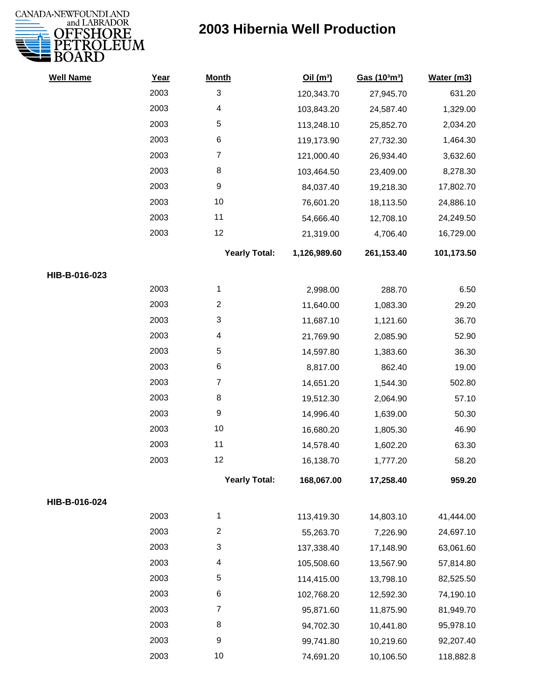

| <b>Well Name</b> | Year | <b>Month</b>            | Oil(m <sup>3</sup> ) | Gas (103m3) | Water (m3) |
|------------------|------|-------------------------|----------------------|-------------|------------|
|                  | 2003 | 3                       | 120,343.70           | 27,945.70   | 631.20     |
|                  | 2003 | 4                       | 103,843.20           | 24,587.40   | 1,329.00   |
|                  | 2003 | 5                       | 113,248.10           | 25,852.70   | 2,034.20   |
|                  | 2003 | $\,6$                   | 119,173.90           | 27,732.30   | 1,464.30   |
|                  | 2003 | $\overline{7}$          | 121,000.40           | 26,934.40   | 3,632.60   |
|                  | 2003 | 8                       | 103,464.50           | 23,409.00   | 8,278.30   |
|                  | 2003 | 9                       | 84,037.40            | 19,218.30   | 17,802.70  |
|                  | 2003 | 10                      | 76,601.20            | 18,113.50   | 24,886.10  |
|                  | 2003 | 11                      | 54,666.40            | 12,708.10   | 24,249.50  |
|                  | 2003 | 12                      | 21,319.00            | 4,706.40    | 16,729.00  |
|                  |      | <b>Yearly Total:</b>    | 1,126,989.60         | 261,153.40  | 101,173.50 |
| HIB-B-016-023    |      |                         |                      |             |            |
|                  | 2003 | 1                       | 2,998.00             | 288.70      | 6.50       |
|                  | 2003 | $\overline{\mathbf{c}}$ | 11,640.00            | 1,083.30    | 29.20      |
|                  | 2003 | 3                       | 11,687.10            | 1,121.60    | 36.70      |
|                  | 2003 | 4                       | 21,769.90            | 2,085.90    | 52.90      |
|                  | 2003 | 5                       | 14,597.80            | 1,383.60    | 36.30      |
|                  | 2003 | 6                       | 8,817.00             | 862.40      | 19.00      |
|                  | 2003 | $\overline{7}$          | 14,651.20            | 1,544.30    | 502.80     |
|                  | 2003 | 8                       | 19,512.30            | 2,064.90    | 57.10      |
|                  | 2003 | 9                       | 14,996.40            | 1,639.00    | 50.30      |
|                  | 2003 | 10                      | 16,680.20            | 1,805.30    | 46.90      |
|                  | 2003 | 11                      | 14,578.40            | 1,602.20    | 63.30      |
|                  | 2003 | 12                      | 16,138.70            | 1,777.20    | 58.20      |
|                  |      | <b>Yearly Total:</b>    | 168,067.00           | 17,258.40   | 959.20     |
| HIB-B-016-024    |      |                         |                      |             |            |
|                  | 2003 | 1                       | 113,419.30           | 14,803.10   | 41,444.00  |
|                  | 2003 | $\overline{c}$          | 55,263.70            | 7,226.90    | 24,697.10  |
|                  | 2003 | 3                       | 137,338.40           | 17,148.90   | 63,061.60  |
|                  | 2003 | 4                       | 105,508.60           | 13,567.90   | 57,814.80  |
|                  | 2003 | 5                       | 114,415.00           | 13,798.10   | 82,525.50  |
|                  | 2003 | 6                       | 102,768.20           | 12,592.30   | 74,190.10  |
|                  | 2003 | 7                       | 95,871.60            | 11,875.90   | 81,949.70  |
|                  | 2003 | 8                       | 94,702.30            | 10,441.80   | 95,978.10  |
|                  | 2003 | 9                       | 99,741.80            | 10,219.60   | 92,207.40  |
|                  | 2003 | 10                      | 74,691.20            | 10,106.50   | 118,882.8  |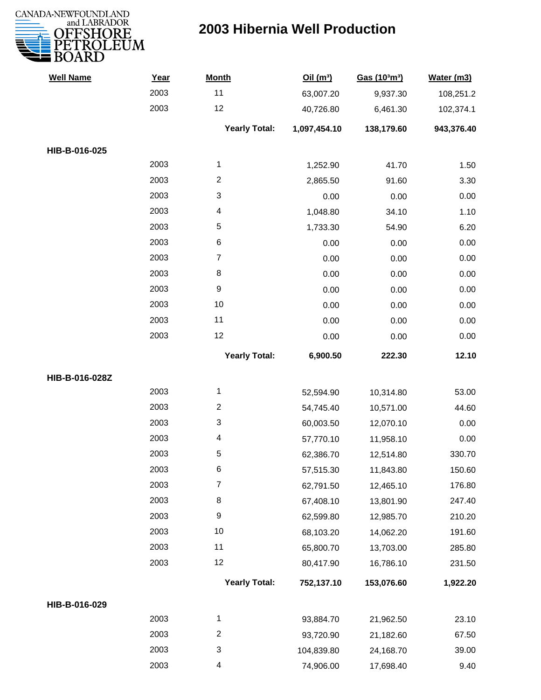

| <b>Well Name</b> | Year | <b>Month</b>         | Oil(m <sup>3</sup> ) | Gas (103m3) | Water (m3) |
|------------------|------|----------------------|----------------------|-------------|------------|
|                  | 2003 | 11                   | 63,007.20            | 9,937.30    | 108,251.2  |
|                  | 2003 | 12                   | 40,726.80            | 6,461.30    | 102,374.1  |
|                  |      | <b>Yearly Total:</b> | 1,097,454.10         | 138,179.60  | 943,376.40 |
| HIB-B-016-025    |      |                      |                      |             |            |
|                  | 2003 | $\mathbf{1}$         | 1,252.90             | 41.70       | 1.50       |
|                  | 2003 | $\overline{c}$       | 2,865.50             | 91.60       | 3.30       |
|                  | 2003 | 3                    | 0.00                 | 0.00        | 0.00       |
|                  | 2003 | 4                    | 1,048.80             | 34.10       | 1.10       |
|                  | 2003 | 5                    | 1,733.30             | 54.90       | 6.20       |
|                  | 2003 | 6                    | 0.00                 | 0.00        | 0.00       |
|                  | 2003 | 7                    | 0.00                 | 0.00        | 0.00       |
|                  | 2003 | 8                    | 0.00                 | 0.00        | 0.00       |
|                  | 2003 | 9                    | 0.00                 | 0.00        | 0.00       |
|                  | 2003 | 10                   | 0.00                 | 0.00        | 0.00       |
|                  | 2003 | 11                   | 0.00                 | 0.00        | 0.00       |
|                  | 2003 | 12                   | 0.00                 | 0.00        | 0.00       |
|                  |      | <b>Yearly Total:</b> | 6,900.50             | 222.30      | 12.10      |
| HIB-B-016-028Z   |      |                      |                      |             |            |
|                  | 2003 | 1                    | 52,594.90            | 10,314.80   | 53.00      |
|                  | 2003 | $\overline{c}$       | 54,745.40            | 10,571.00   | 44.60      |
|                  | 2003 | 3                    | 60,003.50            | 12,070.10   | 0.00       |
|                  | 2003 | 4                    | 57,770.10            | 11,958.10   | 0.00       |
|                  | 2003 | 5                    | 62,386.70            | 12,514.80   | 330.70     |
|                  | 2003 | 6                    | 57,515.30            | 11,843.80   | 150.60     |
|                  | 2003 | $\overline{7}$       | 62,791.50            | 12,465.10   | 176.80     |
|                  | 2003 | 8                    | 67,408.10            | 13,801.90   | 247.40     |
|                  | 2003 | $\boldsymbol{9}$     | 62,599.80            | 12,985.70   | 210.20     |
|                  | 2003 | 10                   | 68,103.20            | 14,062.20   | 191.60     |
|                  | 2003 | 11                   | 65,800.70            | 13,703.00   | 285.80     |
|                  | 2003 | 12                   | 80,417.90            | 16,786.10   | 231.50     |
|                  |      | <b>Yearly Total:</b> | 752,137.10           | 153,076.60  | 1,922.20   |
| HIB-B-016-029    |      |                      |                      |             |            |
|                  | 2003 | $\mathbf{1}$         | 93,884.70            | 21,962.50   | 23.10      |
|                  | 2003 | $\overline{c}$       | 93,720.90            | 21,182.60   | 67.50      |
|                  | 2003 | 3                    | 104,839.80           | 24,168.70   | 39.00      |
|                  | 2003 | 4                    | 74,906.00            | 17,698.40   | 9.40       |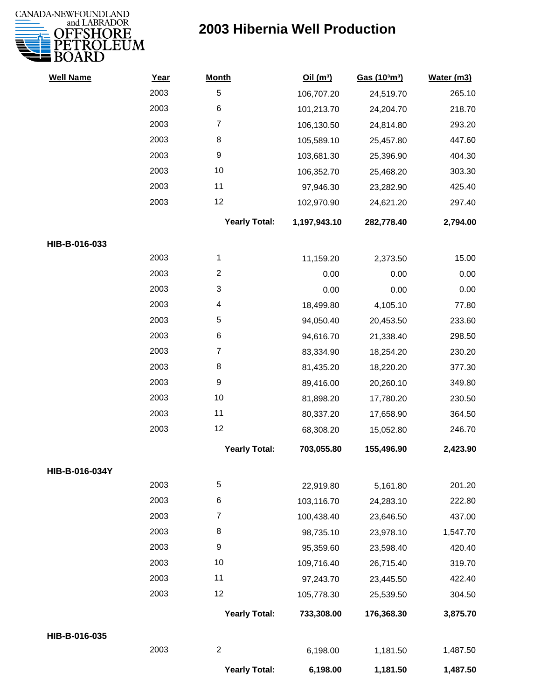

| <b>Well Name</b> | Year | <b>Month</b>         | Oil(m <sup>3</sup> ) | Gas (103m3) | Water (m3) |
|------------------|------|----------------------|----------------------|-------------|------------|
|                  | 2003 | 5                    | 106,707.20           | 24,519.70   | 265.10     |
|                  | 2003 | $\,6$                | 101,213.70           | 24,204.70   | 218.70     |
|                  | 2003 | $\overline{7}$       | 106,130.50           | 24,814.80   | 293.20     |
|                  | 2003 | 8                    | 105,589.10           | 25,457.80   | 447.60     |
|                  | 2003 | 9                    | 103,681.30           | 25,396.90   | 404.30     |
|                  | 2003 | 10                   | 106,352.70           | 25,468.20   | 303.30     |
|                  | 2003 | 11                   | 97,946.30            | 23,282.90   | 425.40     |
|                  | 2003 | 12                   | 102,970.90           | 24,621.20   | 297.40     |
|                  |      | <b>Yearly Total:</b> | 1,197,943.10         | 282,778.40  | 2,794.00   |
| HIB-B-016-033    |      |                      |                      |             |            |
|                  | 2003 | 1                    | 11,159.20            | 2,373.50    | 15.00      |
|                  | 2003 | $\overline{2}$       | 0.00                 | 0.00        | 0.00       |
|                  | 2003 | 3                    | 0.00                 | 0.00        | 0.00       |
|                  | 2003 | 4                    | 18,499.80            | 4,105.10    | 77.80      |
|                  | 2003 | 5                    | 94,050.40            | 20,453.50   | 233.60     |
|                  | 2003 | $\,6$                | 94,616.70            | 21,338.40   | 298.50     |
|                  | 2003 | $\overline{7}$       | 83,334.90            | 18,254.20   | 230.20     |
|                  | 2003 | 8                    | 81,435.20            | 18,220.20   | 377.30     |
|                  | 2003 | 9                    | 89,416.00            | 20,260.10   | 349.80     |
|                  | 2003 | 10                   | 81,898.20            | 17,780.20   | 230.50     |
|                  | 2003 | 11                   | 80,337.20            | 17,658.90   | 364.50     |
|                  | 2003 | 12                   | 68,308.20            | 15,052.80   | 246.70     |
|                  |      | <b>Yearly Total:</b> | 703,055.80           | 155,496.90  | 2,423.90   |
| HIB-B-016-034Y   |      |                      |                      |             |            |
|                  | 2003 | 5                    | 22,919.80            | 5,161.80    | 201.20     |
|                  | 2003 | 6                    | 103,116.70           | 24,283.10   | 222.80     |
|                  | 2003 | 7                    | 100,438.40           | 23,646.50   | 437.00     |
|                  | 2003 | 8                    | 98,735.10            | 23,978.10   | 1,547.70   |
|                  | 2003 | 9                    | 95,359.60            | 23,598.40   | 420.40     |
|                  | 2003 | 10                   | 109,716.40           | 26,715.40   | 319.70     |
|                  | 2003 | 11                   | 97,243.70            | 23,445.50   | 422.40     |
|                  | 2003 | 12                   | 105,778.30           | 25,539.50   | 304.50     |
|                  |      | <b>Yearly Total:</b> | 733,308.00           | 176,368.30  | 3,875.70   |
| HIB-B-016-035    |      |                      |                      |             |            |
|                  | 2003 | $\sqrt{2}$           | 6,198.00             | 1,181.50    | 1,487.50   |
|                  |      | <b>Yearly Total:</b> | 6,198.00             | 1,181.50    | 1,487.50   |